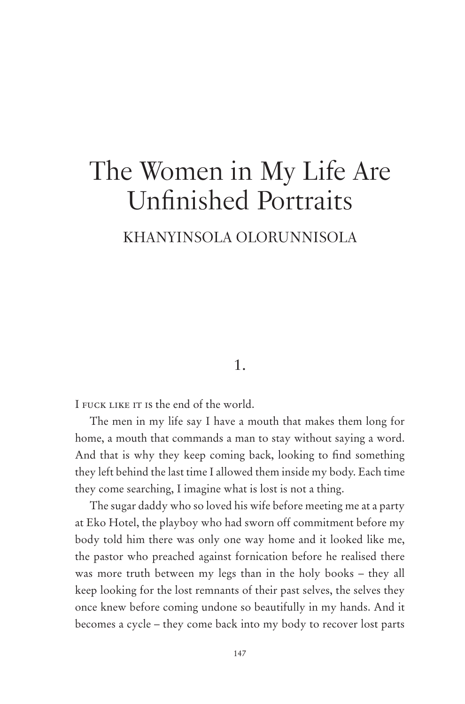# The Women in My Life Are Unfinished Portraits

# KHANYINSOLA OLORUNNISOLA

## 1.

I FUCK LIKE IT IS the end of the world.

The men in my life say I have a mouth that makes them long for home, a mouth that commands a man to stay without saying a word. And that is why they keep coming back, looking to find something they left behind the last time I allowed them inside my body. Each time they come searching, I imagine what is lost is not a thing.

The sugar daddy who so loved his wife before meeting me at a party at Eko Hotel, the playboy who had sworn off commitment before my body told him there was only one way home and it looked like me, the pastor who preached against fornication before he realised there was more truth between my legs than in the holy books – they all keep looking for the lost remnants of their past selves, the selves they once knew before coming undone so beautifully in my hands. And it becomes a cycle – they come back into my body to recover lost parts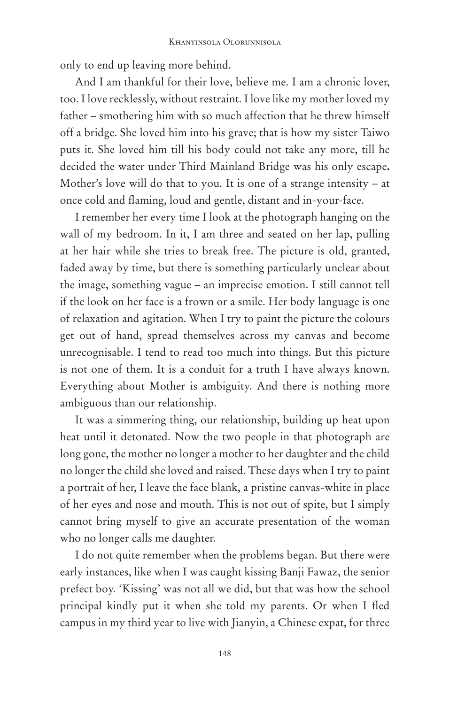only to end up leaving more behind.

And I am thankful for their love, believe me. I am a chronic lover, too. I love recklessly, without restraint. I love like my mother loved my father – smothering him with so much affection that he threw himself off a bridge. She loved him into his grave; that is how my sister Taiwo puts it. She loved him till his body could not take any more, till he decided the water under Third Mainland Bridge was his only escape**.**  Mother's love will do that to you. It is one of a strange intensity – at once cold and flaming, loud and gentle, distant and in-your-face.

I remember her every time I look at the photograph hanging on the wall of my bedroom. In it, I am three and seated on her lap, pulling at her hair while she tries to break free. The picture is old, granted, faded away by time, but there is something particularly unclear about the image, something vague – an imprecise emotion. I still cannot tell if the look on her face is a frown or a smile. Her body language is one of relaxation and agitation. When I try to paint the picture the colours get out of hand, spread themselves across my canvas and become unrecognisable. I tend to read too much into things. But this picture is not one of them. It is a conduit for a truth I have always known. Everything about Mother is ambiguity. And there is nothing more ambiguous than our relationship.

It was a simmering thing, our relationship, building up heat upon heat until it detonated. Now the two people in that photograph are long gone, the mother no longer a mother to her daughter and the child no longer the child she loved and raised. These days when I try to paint a portrait of her, I leave the face blank, a pristine canvas-white in place of her eyes and nose and mouth. This is not out of spite, but I simply cannot bring myself to give an accurate presentation of the woman who no longer calls me daughter.

I do not quite remember when the problems began. But there were early instances, like when I was caught kissing Banji Fawaz, the senior prefect boy. 'Kissing' was not all we did, but that was how the school principal kindly put it when she told my parents. Or when I fled campus in my third year to live with Jianyin, a Chinese expat, for three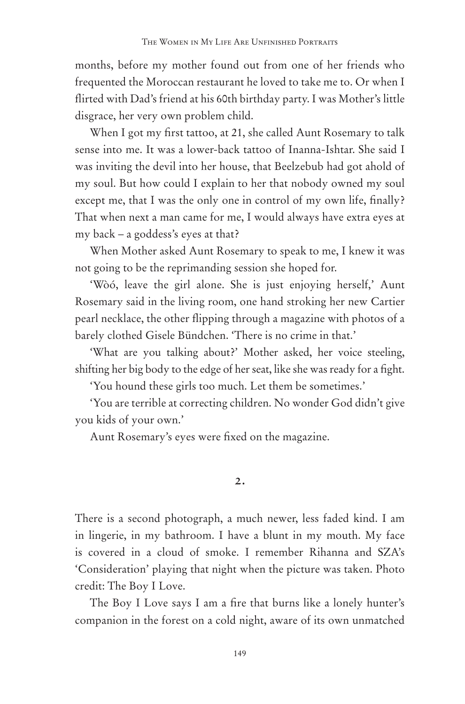months, before my mother found out from one of her friends who frequented the Moroccan restaurant he loved to take me to. Or when I flirted with Dad's friend at his 60th birthday party. I was Mother's little disgrace, her very own problem child.

When I got my first tattoo, at 21, she called Aunt Rosemary to talk sense into me. It was a lower-back tattoo of Inanna-Ishtar. She said I was inviting the devil into her house, that Beelzebub had got ahold of my soul. But how could I explain to her that nobody owned my soul except me, that I was the only one in control of my own life, finally? That when next a man came for me, I would always have extra eyes at my back – a goddess's eyes at that?

When Mother asked Aunt Rosemary to speak to me, I knew it was not going to be the reprimanding session she hoped for.

'Wòó, leave the girl alone. She is just enjoying herself,' Aunt Rosemary said in the living room, one hand stroking her new Cartier pearl necklace, the other flipping through a magazine with photos of a barely clothed Gisele Bündchen. 'There is no crime in that.'

'What are you talking about?' Mother asked, her voice steeling, shifting her big body to the edge of her seat, like she was ready for a fight.

'You hound these girls too much. Let them be sometimes.'

'You are terrible at correcting children. No wonder God didn't give you kids of your own.'

Aunt Rosemary's eyes were fixed on the magazine.

#### 2.

There is a second photograph, a much newer, less faded kind. I am in lingerie, in my bathroom. I have a blunt in my mouth. My face is covered in a cloud of smoke. I remember Rihanna and SZA's 'Consideration' playing that night when the picture was taken. Photo credit: The Boy I Love.

The Boy I Love says I am a fire that burns like a lonely hunter's companion in the forest on a cold night, aware of its own unmatched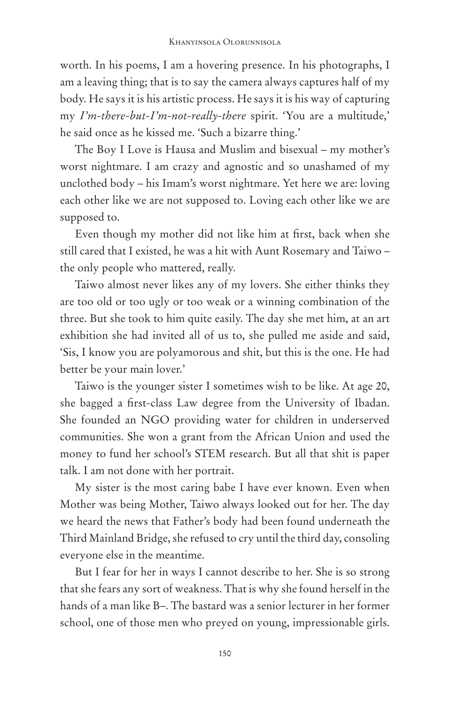worth. In his poems, I am a hovering presence. In his photographs, I am a leaving thing; that is to say the camera always captures half of my body. He says it is his artistic process. He says it is his way of capturing my *I'm-there-but-I'm-not-really-there* spirit. 'You are a multitude,' he said once as he kissed me. 'Such a bizarre thing.'

The Boy I Love is Hausa and Muslim and bisexual – my mother's worst nightmare. I am crazy and agnostic and so unashamed of my unclothed body – his Imam's worst nightmare. Yet here we are: loving each other like we are not supposed to. Loving each other like we are supposed to.

Even though my mother did not like him at first, back when she still cared that I existed, he was a hit with Aunt Rosemary and Taiwo – the only people who mattered, really.

Taiwo almost never likes any of my lovers. She either thinks they are too old or too ugly or too weak or a winning combination of the three. But she took to him quite easily. The day she met him, at an art exhibition she had invited all of us to, she pulled me aside and said, 'Sis, I know you are polyamorous and shit, but this is the one. He had better be your main lover.'

Taiwo is the younger sister I sometimes wish to be like. At age 20, she bagged a first-class Law degree from the University of Ibadan. She founded an NGO providing water for children in underserved communities. She won a grant from the African Union and used the money to fund her school's STEM research. But all that shit is paper talk. I am not done with her portrait.

My sister is the most caring babe I have ever known. Even when Mother was being Mother, Taiwo always looked out for her. The day we heard the news that Father's body had been found underneath the Third Mainland Bridge, she refused to cry until the third day, consoling everyone else in the meantime.

But I fear for her in ways I cannot describe to her. She is so strong that she fears any sort of weakness. That is why she found herself in the hands of a man like B–. The bastard was a senior lecturer in her former school, one of those men who preyed on young, impressionable girls.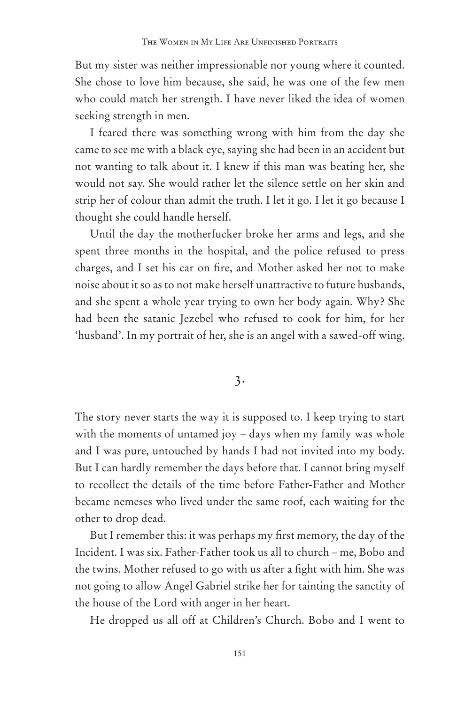But my sister was neither impressionable nor young where it counted. She chose to love him because, she said, he was one of the few men who could match her strength. I have never liked the idea of women seeking strength in men.

I feared there was something wrong with him from the day she came to see me with a black eye, saying she had been in an accident but not wanting to talk about it. I knew if this man was beating her, she would not say. She would rather let the silence settle on her skin and strip her of colour than admit the truth. I let it go. I let it go because I thought she could handle herself.

Until the day the motherfucker broke her arms and legs, and she spent three months in the hospital, and the police refused to press charges, and I set his car on fire, and Mother asked her not to make noise about it so as to not make herself unattractive to future husbands, and she spent a whole year trying to own her body again. Why? She had been the satanic Jezebel who refused to cook for him, for her 'husband'. In my portrait of her, she is an angel with a sawed-off wing.

3.

The story never starts the way it is supposed to. I keep trying to start with the moments of untamed joy – days when my family was whole and I was pure, untouched by hands I had not invited into my body. But I can hardly remember the days before that. I cannot bring myself to recollect the details of the time before Father-Father and Mother became nemeses who lived under the same roof, each waiting for the other to drop dead.

But I remember this: it was perhaps my first memory, the day of the Incident. I was six. Father-Father took us all to church – me, Bobo and the twins. Mother refused to go with us after a fight with him. She was not going to allow Angel Gabriel strike her for tainting the sanctity of the house of the Lord with anger in her heart.

He dropped us all off at Children's Church. Bobo and I went to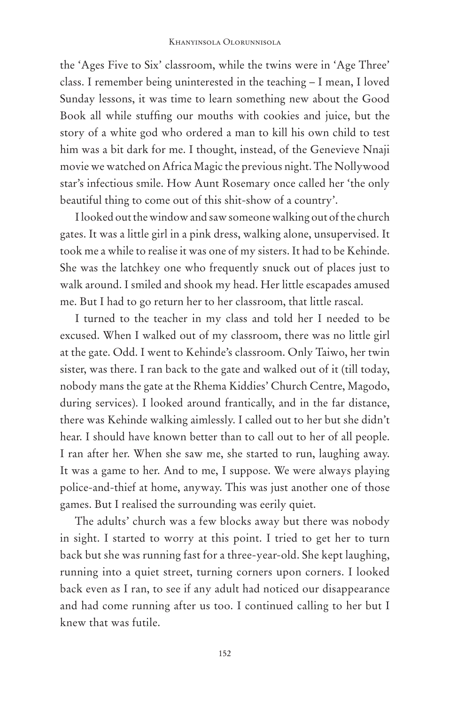the 'Ages Five to Six' classroom, while the twins were in 'Age Three' class. I remember being uninterested in the teaching – I mean, I loved Sunday lessons, it was time to learn something new about the Good Book all while stuffing our mouths with cookies and juice, but the story of a white god who ordered a man to kill his own child to test him was a bit dark for me. I thought, instead, of the Genevieve Nnaji movie we watched on Africa Magic the previous night. The Nollywood star's infectious smile. How Aunt Rosemary once called her 'the only beautiful thing to come out of this shit-show of a country'.

I looked out the window and saw someone walking out of the church gates. It was a little girl in a pink dress, walking alone, unsupervised. It took me a while to realise it was one of my sisters. It had to be Kehinde. She was the latchkey one who frequently snuck out of places just to walk around. I smiled and shook my head. Her little escapades amused me. But I had to go return her to her classroom, that little rascal.

I turned to the teacher in my class and told her I needed to be excused. When I walked out of my classroom, there was no little girl at the gate. Odd. I went to Kehinde's classroom. Only Taiwo, her twin sister, was there. I ran back to the gate and walked out of it (till today, nobody mans the gate at the Rhema Kiddies' Church Centre, Magodo, during services). I looked around frantically, and in the far distance, there was Kehinde walking aimlessly. I called out to her but she didn't hear. I should have known better than to call out to her of all people. I ran after her. When she saw me, she started to run, laughing away. It was a game to her. And to me, I suppose. We were always playing police-and-thief at home, anyway. This was just another one of those games. But I realised the surrounding was eerily quiet.

The adults' church was a few blocks away but there was nobody in sight. I started to worry at this point. I tried to get her to turn back but she was running fast for a three-year-old. She kept laughing, running into a quiet street, turning corners upon corners. I looked back even as I ran, to see if any adult had noticed our disappearance and had come running after us too. I continued calling to her but I knew that was futile.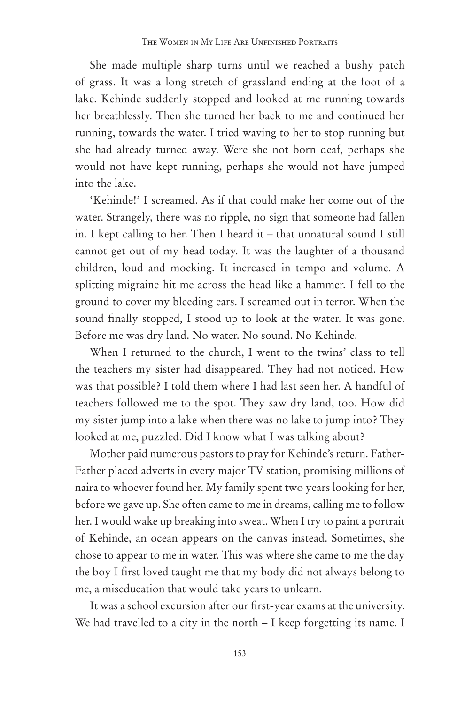She made multiple sharp turns until we reached a bushy patch of grass. It was a long stretch of grassland ending at the foot of a lake. Kehinde suddenly stopped and looked at me running towards her breathlessly. Then she turned her back to me and continued her running, towards the water. I tried waving to her to stop running but she had already turned away. Were she not born deaf, perhaps she would not have kept running, perhaps she would not have jumped into the lake.

'Kehinde!' I screamed. As if that could make her come out of the water. Strangely, there was no ripple, no sign that someone had fallen in. I kept calling to her. Then I heard it – that unnatural sound I still cannot get out of my head today. It was the laughter of a thousand children, loud and mocking. It increased in tempo and volume. A splitting migraine hit me across the head like a hammer. I fell to the ground to cover my bleeding ears. I screamed out in terror. When the sound finally stopped, I stood up to look at the water. It was gone. Before me was dry land. No water. No sound. No Kehinde.

When I returned to the church, I went to the twins' class to tell the teachers my sister had disappeared. They had not noticed. How was that possible? I told them where I had last seen her. A handful of teachers followed me to the spot. They saw dry land, too. How did my sister jump into a lake when there was no lake to jump into? They looked at me, puzzled. Did I know what I was talking about?

Mother paid numerous pastors to pray for Kehinde's return. Father-Father placed adverts in every major TV station, promising millions of naira to whoever found her. My family spent two years looking for her, before we gave up. She often came to me in dreams, calling me to follow her. I would wake up breaking into sweat. When I try to paint a portrait of Kehinde, an ocean appears on the canvas instead. Sometimes, she chose to appear to me in water. This was where she came to me the day the boy I first loved taught me that my body did not always belong to me, a miseducation that would take years to unlearn.

It was a school excursion after our first-year exams at the university. We had travelled to a city in the north – I keep forgetting its name. I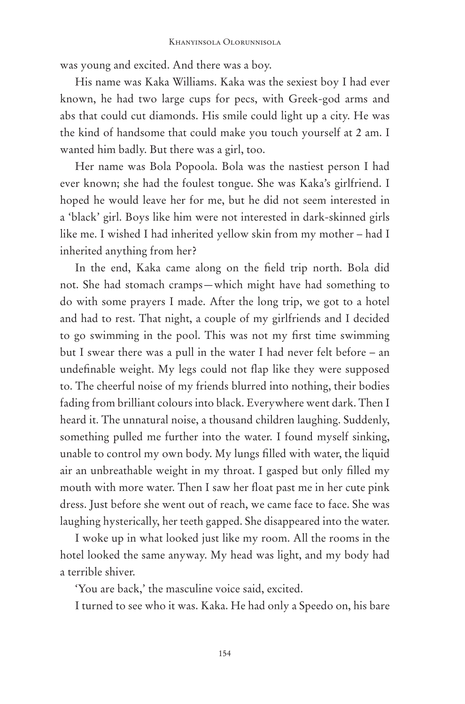was young and excited. And there was a boy.

His name was Kaka Williams. Kaka was the sexiest boy I had ever known, he had two large cups for pecs, with Greek-god arms and abs that could cut diamonds. His smile could light up a city. He was the kind of handsome that could make you touch yourself at 2 am. I wanted him badly. But there was a girl, too.

Her name was Bola Popoola. Bola was the nastiest person I had ever known; she had the foulest tongue. She was Kaka's girlfriend. I hoped he would leave her for me, but he did not seem interested in a 'black' girl. Boys like him were not interested in dark-skinned girls like me. I wished I had inherited yellow skin from my mother – had I inherited anything from her?

In the end, Kaka came along on the field trip north. Bola did not. She had stomach cramps—which might have had something to do with some prayers I made. After the long trip, we got to a hotel and had to rest. That night, a couple of my girlfriends and I decided to go swimming in the pool. This was not my first time swimming but I swear there was a pull in the water I had never felt before – an undefinable weight. My legs could not flap like they were supposed to. The cheerful noise of my friends blurred into nothing, their bodies fading from brilliant colours into black. Everywhere went dark. Then I heard it. The unnatural noise, a thousand children laughing. Suddenly, something pulled me further into the water. I found myself sinking, unable to control my own body. My lungs filled with water, the liquid air an unbreathable weight in my throat. I gasped but only filled my mouth with more water. Then I saw her float past me in her cute pink dress. Just before she went out of reach, we came face to face. She was laughing hysterically, her teeth gapped. She disappeared into the water.

I woke up in what looked just like my room. All the rooms in the hotel looked the same anyway. My head was light, and my body had a terrible shiver.

'You are back,' the masculine voice said, excited.

I turned to see who it was. Kaka. He had only a Speedo on, his bare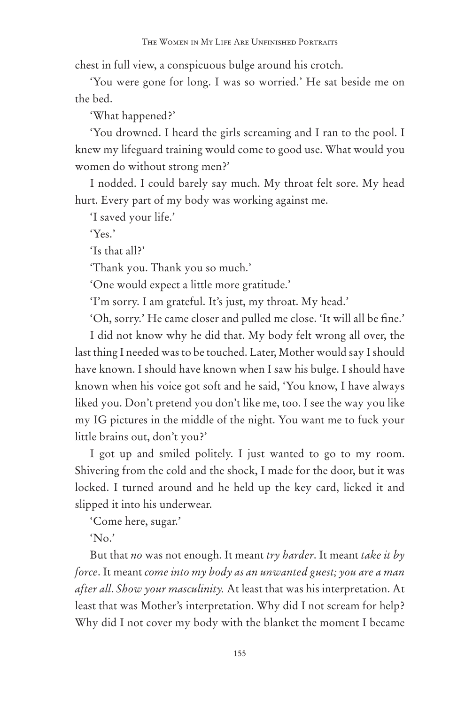chest in full view, a conspicuous bulge around his crotch.

'You were gone for long. I was so worried.' He sat beside me on the bed.

'What happened?'

'You drowned. I heard the girls screaming and I ran to the pool. I knew my lifeguard training would come to good use. What would you women do without strong men?'

I nodded. I could barely say much. My throat felt sore. My head hurt. Every part of my body was working against me.

'I saved your life.'

'Yes.'

'Is that all?'

'Thank you. Thank you so much.'

'One would expect a little more gratitude.'

'I'm sorry. I am grateful. It's just, my throat. My head.'

'Oh, sorry.' He came closer and pulled me close. 'It will all be fine.' I did not know why he did that. My body felt wrong all over, the last thing I needed was to be touched. Later, Mother would say I should have known. I should have known when I saw his bulge. I should have known when his voice got soft and he said, 'You know, I have always liked you. Don't pretend you don't like me, too. I see the way you like my IG pictures in the middle of the night. You want me to fuck your little brains out, don't you?'

I got up and smiled politely. I just wanted to go to my room. Shivering from the cold and the shock, I made for the door, but it was locked. I turned around and he held up the key card, licked it and slipped it into his underwear.

'Come here, sugar.'

'No.'

But that *no* was not enough. It meant *try harder*. It meant *take it by force*. It meant *come into my body as an unwanted guest; you are a man after all*. *Show your masculinity.* At least that was his interpretation. At least that was Mother's interpretation. Why did I not scream for help? Why did I not cover my body with the blanket the moment I became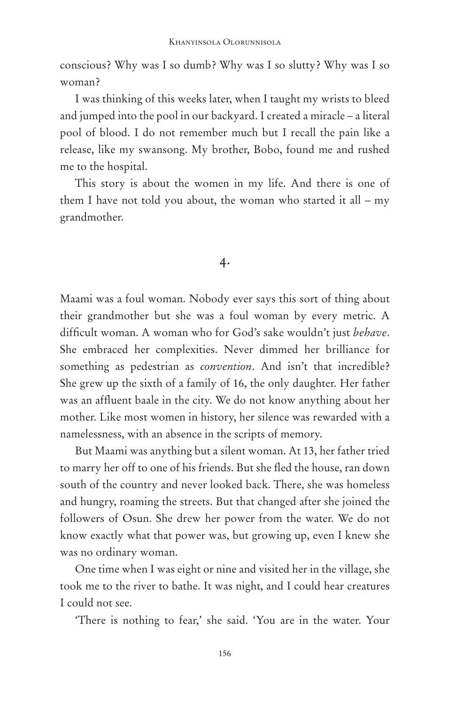conscious? Why was I so dumb? Why was I so slutty? Why was I so woman?

I was thinking of this weeks later, when I taught my wrists to bleed and jumped into the pool in our backyard. I created a miracle – a literal pool of blood. I do not remember much but I recall the pain like a release, like my swansong. My brother, Bobo, found me and rushed me to the hospital.

This story is about the women in my life. And there is one of them I have not told you about, the woman who started it all – my grandmother.

#### 4.

Maami was a foul woman. Nobody ever says this sort of thing about their grandmother but she was a foul woman by every metric. A difficult woman. A woman who for God's sake wouldn't just *behave*. She embraced her complexities. Never dimmed her brilliance for something as pedestrian as *convention*. And isn't that incredible? She grew up the sixth of a family of 16, the only daughter. Her father was an affluent baale in the city. We do not know anything about her mother. Like most women in history, her silence was rewarded with a namelessness, with an absence in the scripts of memory.

But Maami was anything but a silent woman. At 13, her father tried to marry her off to one of his friends. But she fled the house, ran down south of the country and never looked back. There, she was homeless and hungry, roaming the streets. But that changed after she joined the followers of Osun. She drew her power from the water. We do not know exactly what that power was, but growing up, even I knew she was no ordinary woman.

One time when I was eight or nine and visited her in the village, she took me to the river to bathe. It was night, and I could hear creatures I could not see.

'There is nothing to fear,' she said. 'You are in the water. Your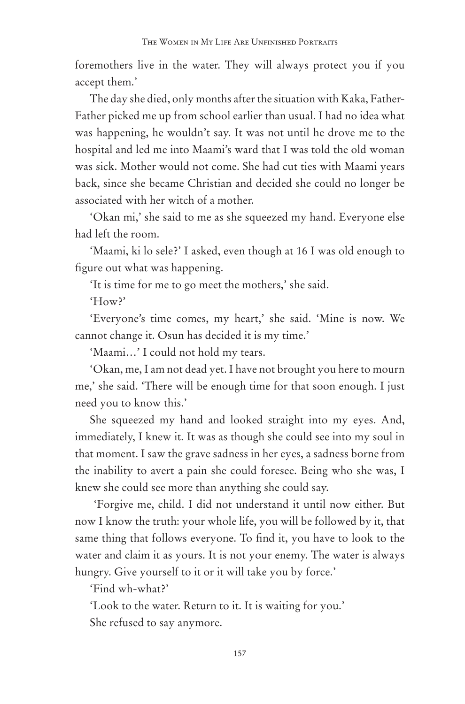foremothers live in the water. They will always protect you if you accept them.'

The day she died, only months after the situation with Kaka, Father-Father picked me up from school earlier than usual. I had no idea what was happening, he wouldn't say. It was not until he drove me to the hospital and led me into Maami's ward that I was told the old woman was sick. Mother would not come. She had cut ties with Maami years back, since she became Christian and decided she could no longer be associated with her witch of a mother.

'Okan mi,' she said to me as she squeezed my hand. Everyone else had left the room.

'Maami, ki lo sele?' I asked, even though at 16 I was old enough to figure out what was happening.

'It is time for me to go meet the mothers,' she said.

'How?'

'Everyone's time comes, my heart,' she said. 'Mine is now. We cannot change it. Osun has decided it is my time.'

'Maami…' I could not hold my tears.

'Okan, me, I am not dead yet. I have not brought you here to mourn me,' she said. 'There will be enough time for that soon enough. I just need you to know this.'

She squeezed my hand and looked straight into my eyes. And, immediately, I knew it. It was as though she could see into my soul in that moment. I saw the grave sadness in her eyes, a sadness borne from the inability to avert a pain she could foresee. Being who she was, I knew she could see more than anything she could say.

 'Forgive me, child. I did not understand it until now either. But now I know the truth: your whole life, you will be followed by it, that same thing that follows everyone. To find it, you have to look to the water and claim it as yours. It is not your enemy. The water is always hungry. Give yourself to it or it will take you by force.'

'Find wh-what?'

'Look to the water. Return to it. It is waiting for you.' She refused to say anymore.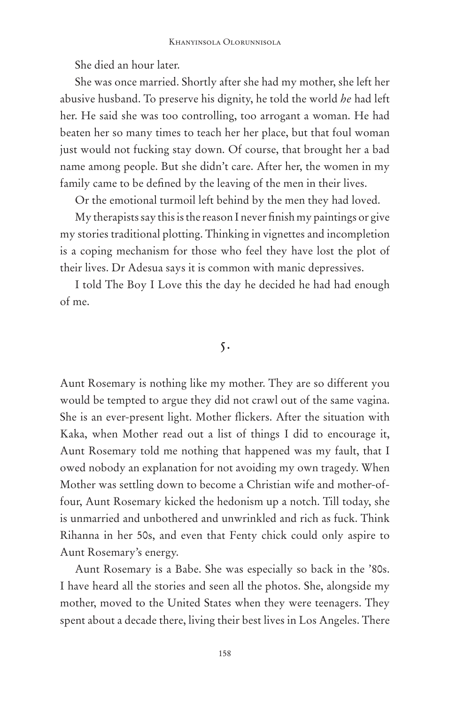She died an hour later.

She was once married. Shortly after she had my mother, she left her abusive husband. To preserve his dignity, he told the world *he* had left her. He said she was too controlling, too arrogant a woman. He had beaten her so many times to teach her her place, but that foul woman just would not fucking stay down. Of course, that brought her a bad name among people. But she didn't care. After her, the women in my family came to be defined by the leaving of the men in their lives.

Or the emotional turmoil left behind by the men they had loved.

My therapists say this is the reason I never finish my paintings or give my stories traditional plotting. Thinking in vignettes and incompletion is a coping mechanism for those who feel they have lost the plot of their lives. Dr Adesua says it is common with manic depressives.

I told The Boy I Love this the day he decided he had had enough of me.

5.

Aunt Rosemary is nothing like my mother. They are so different you would be tempted to argue they did not crawl out of the same vagina. She is an ever-present light. Mother flickers. After the situation with Kaka, when Mother read out a list of things I did to encourage it, Aunt Rosemary told me nothing that happened was my fault, that I owed nobody an explanation for not avoiding my own tragedy. When Mother was settling down to become a Christian wife and mother-offour, Aunt Rosemary kicked the hedonism up a notch. Till today, she is unmarried and unbothered and unwrinkled and rich as fuck. Think Rihanna in her 50s, and even that Fenty chick could only aspire to Aunt Rosemary's energy.

Aunt Rosemary is a Babe. She was especially so back in the '80s. I have heard all the stories and seen all the photos. She, alongside my mother, moved to the United States when they were teenagers. They spent about a decade there, living their best lives in Los Angeles. There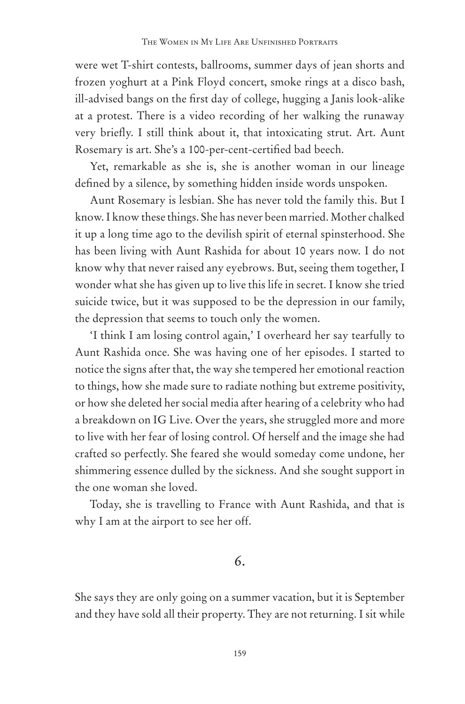were wet T-shirt contests, ballrooms, summer days of jean shorts and frozen yoghurt at a Pink Floyd concert, smoke rings at a disco bash, ill-advised bangs on the first day of college, hugging a Janis look-alike at a protest. There is a video recording of her walking the runaway very briefly. I still think about it, that intoxicating strut. Art. Aunt Rosemary is art. She's a 100-per-cent-certified bad beech.

Yet, remarkable as she is, she is another woman in our lineage defined by a silence, by something hidden inside words unspoken.

Aunt Rosemary is lesbian. She has never told the family this. But I know. I know these things. She has never been married. Mother chalked it up a long time ago to the devilish spirit of eternal spinsterhood. She has been living with Aunt Rashida for about 10 years now. I do not know why that never raised any eyebrows. But, seeing them together, I wonder what she has given up to live this life in secret. I know she tried suicide twice, but it was supposed to be the depression in our family, the depression that seems to touch only the women.

'I think I am losing control again,' I overheard her say tearfully to Aunt Rashida once. She was having one of her episodes. I started to notice the signs after that, the way she tempered her emotional reaction to things, how she made sure to radiate nothing but extreme positivity, or how she deleted her social media after hearing of a celebrity who had a breakdown on IG Live. Over the years, she struggled more and more to live with her fear of losing control. Of herself and the image she had crafted so perfectly. She feared she would someday come undone, her shimmering essence dulled by the sickness. And she sought support in the one woman she loved.

Today, she is travelling to France with Aunt Rashida, and that is why I am at the airport to see her off.

## 6.

She says they are only going on a summer vacation, but it is September and they have sold all their property. They are not returning. I sit while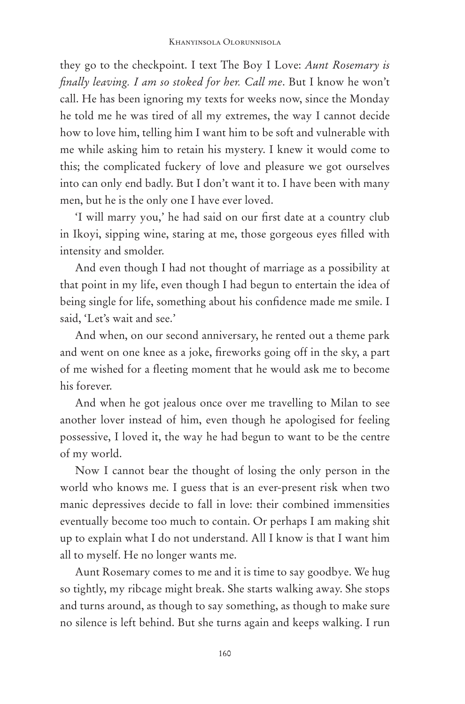they go to the checkpoint. I text The Boy I Love: *Aunt Rosemary is finally leaving. I am so stoked for her. Call me*. But I know he won't call. He has been ignoring my texts for weeks now, since the Monday he told me he was tired of all my extremes, the way I cannot decide how to love him, telling him I want him to be soft and vulnerable with me while asking him to retain his mystery. I knew it would come to this; the complicated fuckery of love and pleasure we got ourselves into can only end badly. But I don't want it to. I have been with many men, but he is the only one I have ever loved.

'I will marry you,' he had said on our first date at a country club in Ikoyi, sipping wine, staring at me, those gorgeous eyes filled with intensity and smolder.

And even though I had not thought of marriage as a possibility at that point in my life, even though I had begun to entertain the idea of being single for life, something about his confidence made me smile. I said, 'Let's wait and see.'

And when, on our second anniversary, he rented out a theme park and went on one knee as a joke, fireworks going off in the sky, a part of me wished for a fleeting moment that he would ask me to become his forever.

And when he got jealous once over me travelling to Milan to see another lover instead of him, even though he apologised for feeling possessive, I loved it, the way he had begun to want to be the centre of my world.

Now I cannot bear the thought of losing the only person in the world who knows me. I guess that is an ever-present risk when two manic depressives decide to fall in love: their combined immensities eventually become too much to contain. Or perhaps I am making shit up to explain what I do not understand. All I know is that I want him all to myself. He no longer wants me.

Aunt Rosemary comes to me and it is time to say goodbye. We hug so tightly, my ribcage might break. She starts walking away. She stops and turns around, as though to say something, as though to make sure no silence is left behind. But she turns again and keeps walking. I run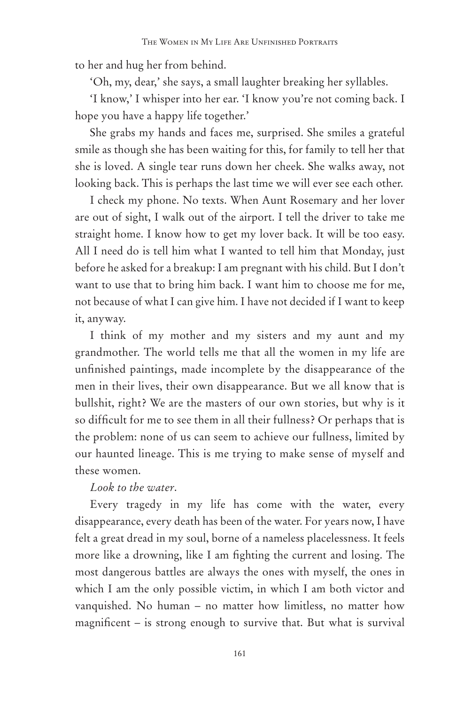to her and hug her from behind.

'Oh, my, dear,' she says, a small laughter breaking her syllables.

'I know,' I whisper into her ear. 'I know you're not coming back. I hope you have a happy life together.'

She grabs my hands and faces me, surprised. She smiles a grateful smile as though she has been waiting for this, for family to tell her that she is loved. A single tear runs down her cheek. She walks away, not looking back. This is perhaps the last time we will ever see each other.

I check my phone. No texts. When Aunt Rosemary and her lover are out of sight, I walk out of the airport. I tell the driver to take me straight home. I know how to get my lover back. It will be too easy. All I need do is tell him what I wanted to tell him that Monday, just before he asked for a breakup: I am pregnant with his child. But I don't want to use that to bring him back. I want him to choose me for me, not because of what I can give him. I have not decided if I want to keep it, anyway.

I think of my mother and my sisters and my aunt and my grandmother. The world tells me that all the women in my life are unfinished paintings, made incomplete by the disappearance of the men in their lives, their own disappearance. But we all know that is bullshit, right? We are the masters of our own stories, but why is it so difficult for me to see them in all their fullness? Or perhaps that is the problem: none of us can seem to achieve our fullness, limited by our haunted lineage. This is me trying to make sense of myself and these women.

## *Look to the water*.

Every tragedy in my life has come with the water, every disappearance, every death has been of the water. For years now, I have felt a great dread in my soul, borne of a nameless placelessness. It feels more like a drowning, like I am fighting the current and losing. The most dangerous battles are always the ones with myself, the ones in which I am the only possible victim, in which I am both victor and vanquished. No human – no matter how limitless, no matter how magnificent – is strong enough to survive that. But what is survival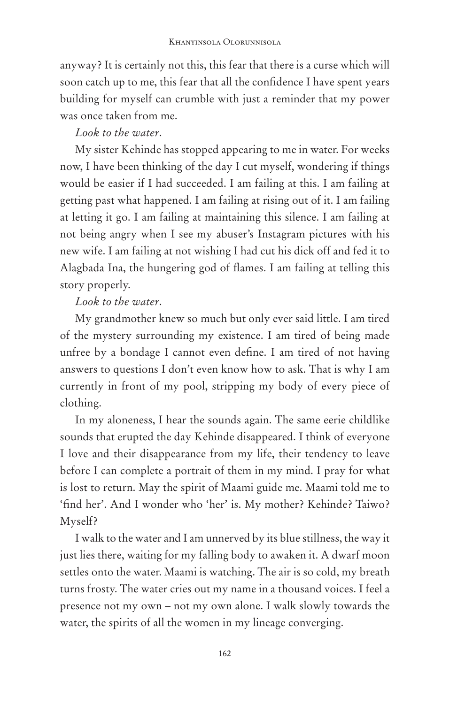anyway? It is certainly not this, this fear that there is a curse which will soon catch up to me, this fear that all the confidence I have spent years building for myself can crumble with just a reminder that my power was once taken from me.

## *Look to the water*.

My sister Kehinde has stopped appearing to me in water. For weeks now, I have been thinking of the day I cut myself, wondering if things would be easier if I had succeeded. I am failing at this. I am failing at getting past what happened. I am failing at rising out of it. I am failing at letting it go. I am failing at maintaining this silence. I am failing at not being angry when I see my abuser's Instagram pictures with his new wife. I am failing at not wishing I had cut his dick off and fed it to Alagbada Ina, the hungering god of flames. I am failing at telling this story properly.

# *Look to the water*.

My grandmother knew so much but only ever said little. I am tired of the mystery surrounding my existence. I am tired of being made unfree by a bondage I cannot even define. I am tired of not having answers to questions I don't even know how to ask. That is why I am currently in front of my pool, stripping my body of every piece of clothing.

In my aloneness, I hear the sounds again. The same eerie childlike sounds that erupted the day Kehinde disappeared. I think of everyone I love and their disappearance from my life, their tendency to leave before I can complete a portrait of them in my mind. I pray for what is lost to return. May the spirit of Maami guide me. Maami told me to 'find her'. And I wonder who 'her' is. My mother? Kehinde? Taiwo? Myself?

I walk to the water and I am unnerved by its blue stillness, the way it just lies there, waiting for my falling body to awaken it. A dwarf moon settles onto the water. Maami is watching. The air is so cold, my breath turns frosty. The water cries out my name in a thousand voices. I feel a presence not my own – not my own alone. I walk slowly towards the water, the spirits of all the women in my lineage converging.